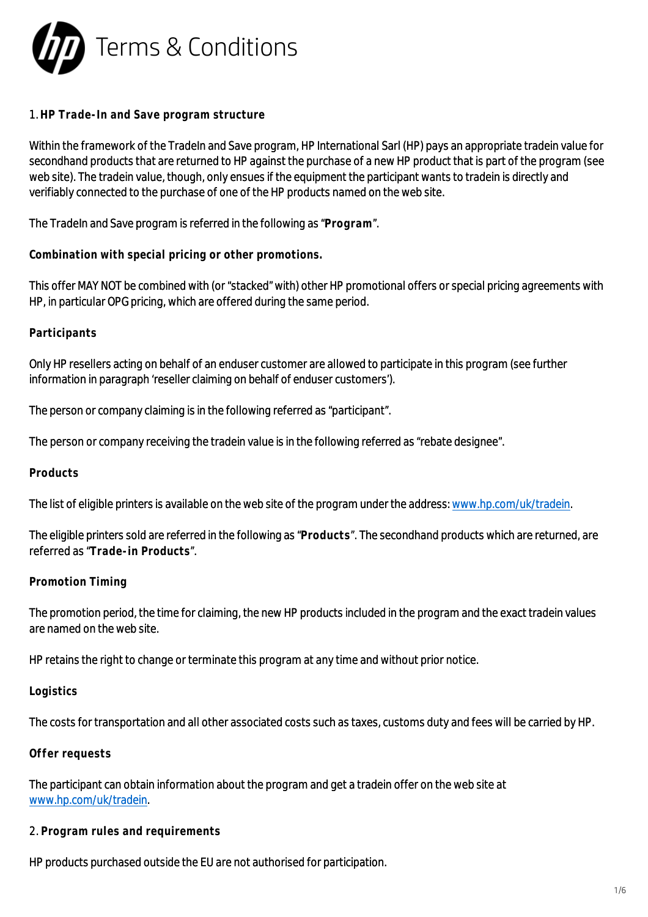

### 1. **HP Trade-In and Save program structure**

Within the framework of the TradeIn and Save program, HP International Sarl (HP) pays an appropriate tradein value for secondhand products that are returned to HP against the purchase of a new HP product that is part of the program (see web site). The tradein value, though, only ensues if the equipment the participant wants to tradein is directly and verifiably connected to the purchase of one of the HP products named on the web site.

The TradeIn and Save program is referred in the following as "**Program**".

**Combination with special pricing or other promotions.**

This offer MAY NOT be combined with (or "stacked" with) other HP promotional offers or special pricing agreements with HP, in particular OPG pricing, which are offered during the same period.

## **Participants**

Only HP resellers acting on behalf of an enduser customer are allowed to participate in this program (see further information in paragraph 'reseller claiming on behalf of enduser customers').

The person or company claiming is in the following referred as "participant".

The person or company receiving the tradein value is in the following referred as "rebate designee".

#### **Products**

The list of eligible printers is available on the web site of the program under the address: [www.hp.com/uk/tradein](http://www.hp.com/uk/tradein).

The eligible printers sold are referred in the following as "**Products**". The secondhand products which are returned, are referred as "**Trade-in Products**".

#### **Promotion Timing**

The promotion period, the time for claiming, the new HP products included in the program and the exact tradein values are named on the web site.

HP retains the right to change or terminate this program at any time and without prior notice.

#### **Logistics**

The costs for transportation and all other associated costs such as taxes, customs duty and fees will be carried by HP.

#### **Offer requests**

The participant can obtain information about the program and get a tradein offer on the web site at [www.hp.com/uk/tradein](http://www.hp.com/uk/tradein).

#### 2. **Program rules and requirements**

HP products purchased outside the EU are not authorised for participation.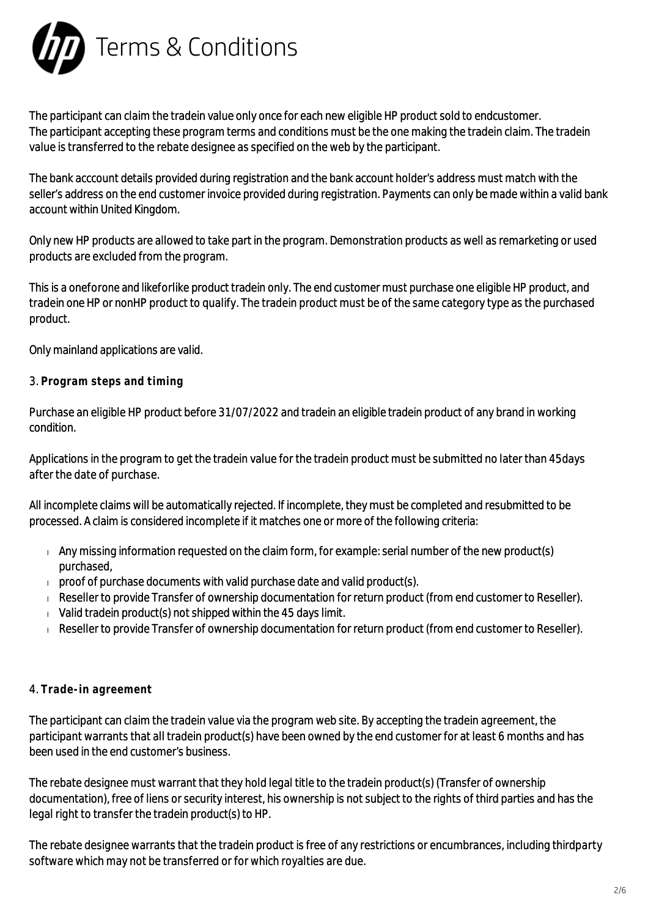

The participant can claim the tradein value only once for each new eligible HP product sold to endcustomer. The participant accepting these program terms and conditions must be the one making the tradein claim. The tradein value is transferred to the rebate designee as specified on the web by the participant.

The bank acccount details provided during registration and the bank account holder's address must match with the seller's address on the end customer invoice provided during registration. Payments can only be made within a valid bank account within United Kingdom.

Only new HP products are allowed to take part in the program. Demonstration products as well as remarketing or used products are excluded from the program.

This is a oneforone and likeforlike product tradein only. The end customer must purchase one eligible HP product, and tradein one HP or nonHP product to qualify. The tradein product must be of the same category type as the purchased product.

Only mainland applications are valid.

# 3. **Program steps and timing**

Purchase an eligible HP product before 31/07/2022 and tradein an eligible tradein product of any brand in working condition.

Applications in the program to get the tradein value for the tradein product must be submitted no later than 45days after the date of purchase.

All incomplete claims will be automatically rejected. If incomplete, they must be completed and resubmitted to be processed. A claim is considered incomplete if it matches one or more of the following criteria:

- $\Box$  Any missing information requested on the claim form, for example: serial number of the new product(s) purchased,
- $\Box$  proof of purchase documents with valid purchase date and valid product(s).
- Reseller to provide Transfer of ownership documentation for return product (from end customer to Reseller).
- $\sqrt{v}$  Valid tradein product(s) not shipped within the 45 days limit.
- Reseller to provide Transfer of ownership documentation for return product (from end customer to Reseller).

# 4. **Trade-in agreement**

The participant can claim the tradein value via the program web site. By accepting the tradein agreement, the participant warrants that all tradein product(s) have been owned by the end customer for at least 6 months and has been used in the end customer's business.

The rebate designee must warrant that they hold legal title to the tradein product(s) (Transfer of ownership documentation), free of liens or security interest, his ownership is not subject to the rights of third parties and has the legal right to transfer the tradein product(s) to HP.

The rebate designee warrants that the tradein product is free of any restrictions or encumbrances, including thirdparty software which may not be transferred or for which royalties are due.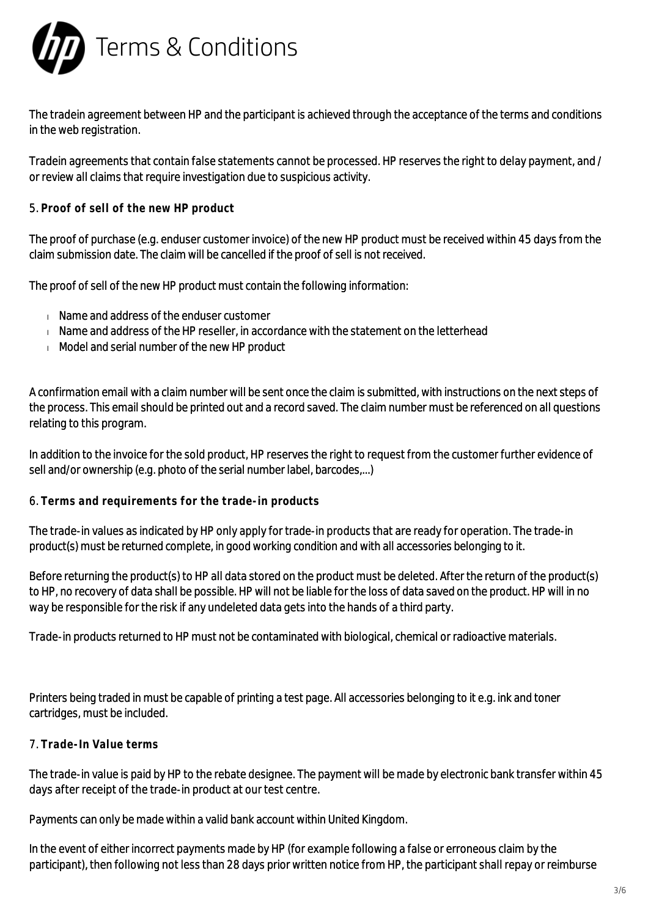

The tradein agreement between HP and the participant is achieved through the acceptance of the terms and conditions in the web registration.

Tradein agreements that contain false statements cannot be processed. HP reserves the right to delay payment, and / or review all claims that require investigation due to suspicious activity.

5. **Proof of sell of the new HP product**

The proof of purchase (e.g. enduser customer invoice) of the new HP product must be received within 45 days from the claim submission date. The claim will be cancelled if the proof of sell is not received.

The proof of sell of the new HP product must contain the following information:

- **Name and address of the enduser customer**
- $\blacksquare$  Name and address of the HP reseller, in accordance with the statement on the letterhead
- Model and serial number of the new HP product

A confirmation email with a claim number will be sent once the claim is submitted, with instructions on the next steps of the process. This email should be printed out and a record saved. The claim number must be referenced on all questions relating to this program.

In addition to the invoice for the sold product, HP reserves the right to request from the customer further evidence of sell and/or ownership (e.g. photo of the serial number label, barcodes,...)

#### 6. **Terms and requirements for the trade-in products**

The trade-in values as indicated by HP only apply for trade-in products that are ready for operation. The trade-in product(s) must be returned complete, in good working condition and with all accessories belonging to it.

Before returning the product(s) to HP all data stored on the product must be deleted. After the return of the product(s) to HP, no recovery of data shall be possible. HP will not be liable for the loss of data saved on the product. HP will in no way be responsible for the risk if any undeleted data gets into the hands of a third party.

Trade-in products returned to HP must not be contaminated with biological, chemical or radioactive materials.

Printers being traded in must be capable of printing a test page. All accessories belonging to it e.g. ink and toner cartridges, must be included.

# 7. **Trade-In Value terms**

The trade-in value is paid by HP to the rebate designee. The payment will be made by electronic bank transfer within 45 days after receipt of the trade-in product at our test centre.

Payments can only be made within a valid bank account within United Kingdom.

In the event of either incorrect payments made by HP (for example following a false or erroneous claim by the participant), then following not less than 28 days prior written notice from HP, the participant shall repay or reimburse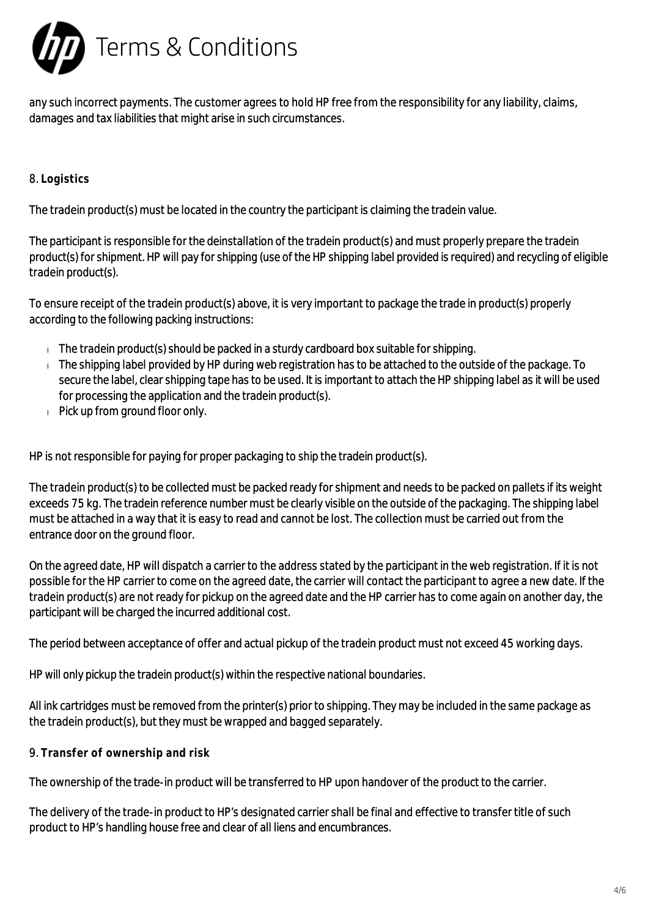

any such incorrect payments. The customer agrees to hold HP free from the responsibility for any liability, claims, damages and tax liabilities that might arise in such circumstances.

## 8. **Logistics**

The tradein product(s) must be located in the country the participant is claiming the tradein value.

The participant is responsible for the deinstallation of the tradein product(s) and must properly prepare the tradein product(s) for shipment. HP will pay for shipping (use of the HP shipping label provided is required) and recycling of eligible tradein product(s).

To ensure receipt of the tradein product(s) above, it is very important to package the trade in product(s) properly according to the following packing instructions:

- $\Box$  The tradein product(s) should be packed in a sturdy cardboard box suitable for shipping.
- $\pm$  The shipping label provided by HP during web registration has to be attached to the outside of the package. To secure the label, clear shipping tape has to be used. It is important to attach the HP shipping label as it will be used for processing the application and the tradein product(s).
- Pick up from ground floor only.

HP is not responsible for paying for proper packaging to ship the tradein product(s).

The tradein product(s) to be collected must be packed ready for shipment and needs to be packed on pallets if its weight exceeds 75 kg. The tradein reference number must be clearly visible on the outside of the packaging. The shipping label must be attached in a way that it is easy to read and cannot be lost. The collection must be carried out from the entrance door on the ground floor.

On the agreed date, HP will dispatch a carrier to the address stated by the participant in the web registration. If it is not possible for the HP carrier to come on the agreed date, the carrier will contact the participant to agree a new date. If the tradein product(s) are not ready for pickup on the agreed date and the HP carrier has to come again on another day, the participant will be charged the incurred additional cost.

The period between acceptance of offer and actual pickup of the tradein product must not exceed 45 working days.

HP will only pickup the tradein product(s) within the respective national boundaries.

All ink cartridges must be removed from the printer(s) prior to shipping. They may be included in the same package as the tradein product(s), but they must be wrapped and bagged separately.

9. **Transfer of ownership and risk**

The ownership of the trade-in product will be transferred to HP upon handover of the product to the carrier.

The delivery of the trade-in product to HP's designated carrier shall be final and effective to transfer title of such product to HP's handling house free and clear of all liens and encumbrances.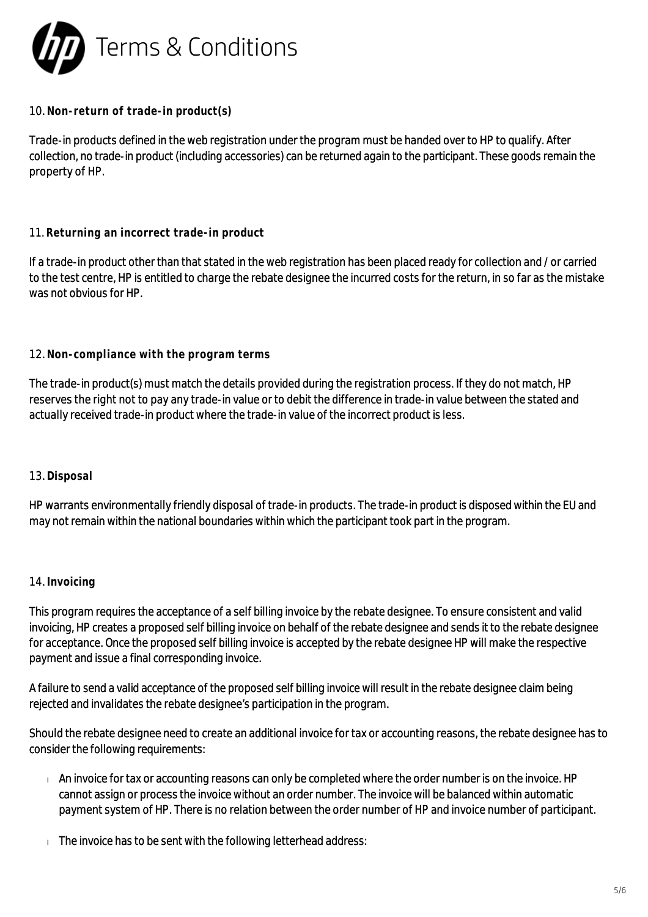

## 10. **Non-return of trade-in product(s)**

Trade-in products defined in the web registration under the program must be handed over to HP to qualify. After collection, no trade-in product (including accessories) can be returned again to the participant. These goods remain the property of HP.

## 11. **Returning an incorrect trade-in product**

If a trade-in product other than that stated in the web registration has been placed ready for collection and / or carried to the test centre, HP is entitled to charge the rebate designee the incurred costs for the return, in so far as the mistake was not obvious for HP.

## 12. **Non-compliance with the program terms**

The trade-in product(s) must match the details provided during the registration process. If they do not match, HP reserves the right not to pay any trade-in value or to debit the difference in trade-in value between the stated and actually received trade-in product where the trade-in value of the incorrect product is less.

#### 13. **Disposal**

HP warrants environmentally friendly disposal of trade-in products. The trade-in product is disposed within the EU and may not remain within the national boundaries within which the participant took part in the program.

#### 14. **Invoicing**

This program requires the acceptance of a self billing invoice by the rebate designee. To ensure consistent and valid invoicing, HP creates a proposed self billing invoice on behalf of the rebate designee and sends it to the rebate designee for acceptance. Once the proposed self billing invoice is accepted by the rebate designee HP will make the respective payment and issue a final corresponding invoice.

A failure to send a valid acceptance of the proposed self billing invoice will result in the rebate designee claim being rejected and invalidates the rebate designee's participation in the program.

Should the rebate designee need to create an additional invoice for tax or accounting reasons, the rebate designee has to consider the following requirements:

- An invoice for tax or accounting reasons can only be completed where the order number is on the invoice. HP cannot assign or process the invoice without an order number. The invoice will be balanced within automatic payment system of HP. There is no relation between the order number of HP and invoice number of participant.
- $\Box$  The invoice has to be sent with the following letterhead address: